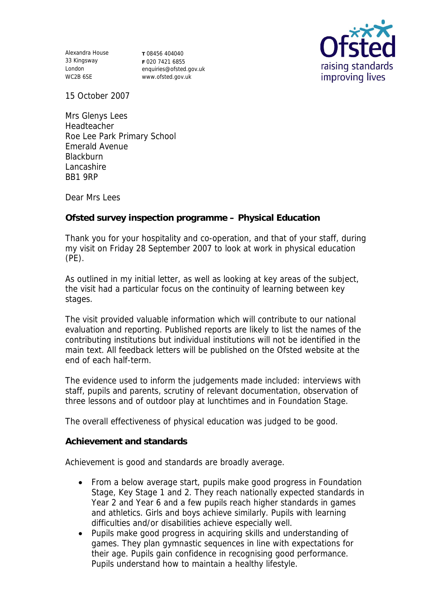Alexandra House 33 Kingsway London WC2B 6SE

**T** 08456 404040 **F** 020 7421 6855 enquiries@ofsted.gov.uk www.ofsted.gov.uk



15 October 2007

Mrs Glenys Lees Headteacher Roe Lee Park Primary School Emerald Avenue **Blackburn** Lancashire BB1 9RP

Dear Mrs Lees

**Ofsted survey inspection programme – Physical Education**

Thank you for your hospitality and co-operation, and that of your staff, during my visit on Friday 28 September 2007 to look at work in physical education (PE).

As outlined in my initial letter, as well as looking at key areas of the subject, the visit had a particular focus on the continuity of learning between key stages.

The visit provided valuable information which will contribute to our national evaluation and reporting. Published reports are likely to list the names of the contributing institutions but individual institutions will not be identified in the main text. All feedback letters will be published on the Ofsted website at the end of each half-term.

The evidence used to inform the judgements made included: interviews with staff, pupils and parents, scrutiny of relevant documentation, observation of three lessons and of outdoor play at lunchtimes and in Foundation Stage.

The overall effectiveness of physical education was judged to be good.

**Achievement and standards**

Achievement is good and standards are broadly average.

- From a below average start, pupils make good progress in Foundation Stage, Key Stage 1 and 2. They reach nationally expected standards in Year 2 and Year 6 and a few pupils reach higher standards in games and athletics. Girls and boys achieve similarly. Pupils with learning difficulties and/or disabilities achieve especially well.
- Pupils make good progress in acquiring skills and understanding of games. They plan gymnastic sequences in line with expectations for their age. Pupils gain confidence in recognising good performance. Pupils understand how to maintain a healthy lifestyle.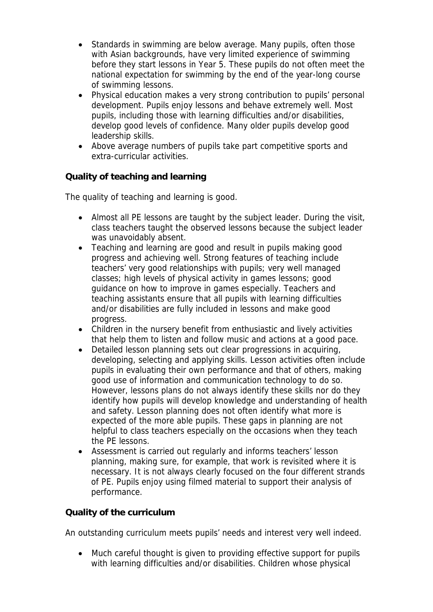- Standards in swimming are below average. Many pupils, often those with Asian backgrounds, have very limited experience of swimming before they start lessons in Year 5. These pupils do not often meet the national expectation for swimming by the end of the year-long course of swimming lessons.
- Physical education makes a very strong contribution to pupils' personal development. Pupils enjoy lessons and behave extremely well. Most pupils, including those with learning difficulties and/or disabilities, develop good levels of confidence. Many older pupils develop good leadership skills.
- Above average numbers of pupils take part competitive sports and extra-curricular activities.

## **Quality of teaching and learning**

The quality of teaching and learning is good.

- Almost all PE lessons are taught by the subject leader. During the visit, class teachers taught the observed lessons because the subject leader was unavoidably absent.
- Teaching and learning are good and result in pupils making good progress and achieving well. Strong features of teaching include teachers' very good relationships with pupils; very well managed classes; high levels of physical activity in games lessons; good guidance on how to improve in games especially. Teachers and teaching assistants ensure that all pupils with learning difficulties and/or disabilities are fully included in lessons and make good progress.
- Children in the nursery benefit from enthusiastic and lively activities that help them to listen and follow music and actions at a good pace.
- Detailed lesson planning sets out clear progressions in acquiring, developing, selecting and applying skills. Lesson activities often include pupils in evaluating their own performance and that of others, making good use of information and communication technology to do so. However, lessons plans do not always identify these skills nor do they identify how pupils will develop knowledge and understanding of health and safety. Lesson planning does not often identify what more is expected of the more able pupils. These gaps in planning are not helpful to class teachers especially on the occasions when they teach the PE lessons.
- Assessment is carried out regularly and informs teachers' lesson planning, making sure, for example, that work is revisited where it is necessary. It is not always clearly focused on the four different strands of PE. Pupils enjoy using filmed material to support their analysis of performance.

## **Quality of the curriculum**

An outstanding curriculum meets pupils' needs and interest very well indeed.

 Much careful thought is given to providing effective support for pupils with learning difficulties and/or disabilities. Children whose physical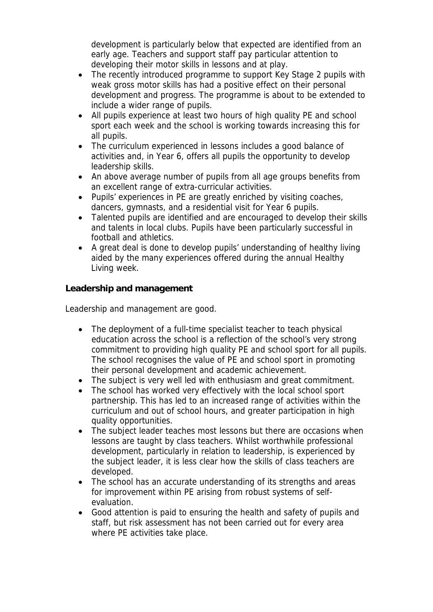development is particularly below that expected are identified from an early age. Teachers and support staff pay particular attention to developing their motor skills in lessons and at play.

- The recently introduced programme to support Key Stage 2 pupils with weak gross motor skills has had a positive effect on their personal development and progress. The programme is about to be extended to include a wider range of pupils.
- All pupils experience at least two hours of high quality PE and school sport each week and the school is working towards increasing this for all pupils.
- The curriculum experienced in lessons includes a good balance of activities and, in Year 6, offers all pupils the opportunity to develop leadership skills.
- An above average number of pupils from all age groups benefits from an excellent range of extra-curricular activities.
- Pupils' experiences in PE are greatly enriched by visiting coaches, dancers, gymnasts, and a residential visit for Year 6 pupils.
- Talented pupils are identified and are encouraged to develop their skills and talents in local clubs. Pupils have been particularly successful in football and athletics.
- A great deal is done to develop pupils' understanding of healthy living aided by the many experiences offered during the annual Healthy Living week.

**Leadership and management** 

Leadership and management are good.

- The deployment of a full-time specialist teacher to teach physical education across the school is a reflection of the school's very strong commitment to providing high quality PE and school sport for all pupils. The school recognises the value of PE and school sport in promoting their personal development and academic achievement.
- The subject is very well led with enthusiasm and great commitment.
- The school has worked very effectively with the local school sport partnership. This has led to an increased range of activities within the curriculum and out of school hours, and greater participation in high quality opportunities.
- The subject leader teaches most lessons but there are occasions when lessons are taught by class teachers. Whilst worthwhile professional development, particularly in relation to leadership, is experienced by the subject leader, it is less clear how the skills of class teachers are developed.
- The school has an accurate understanding of its strengths and areas for improvement within PE arising from robust systems of selfevaluation.
- Good attention is paid to ensuring the health and safety of pupils and staff, but risk assessment has not been carried out for every area where PE activities take place.